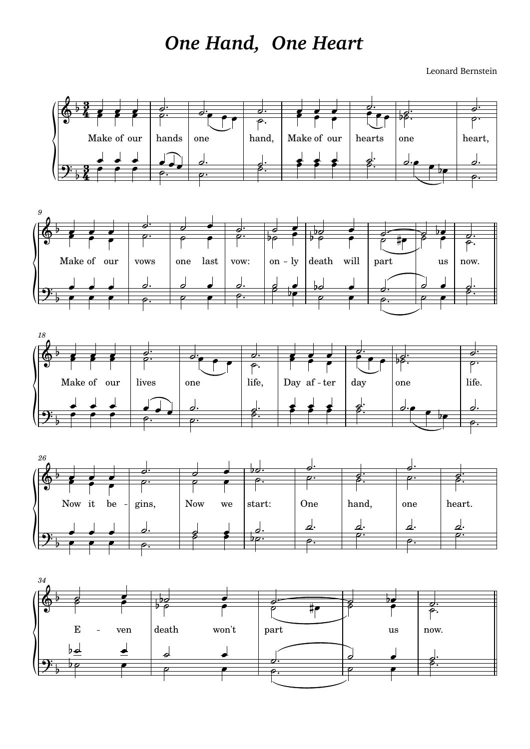## *One Hand, One Heart*

Leonard Bernstein